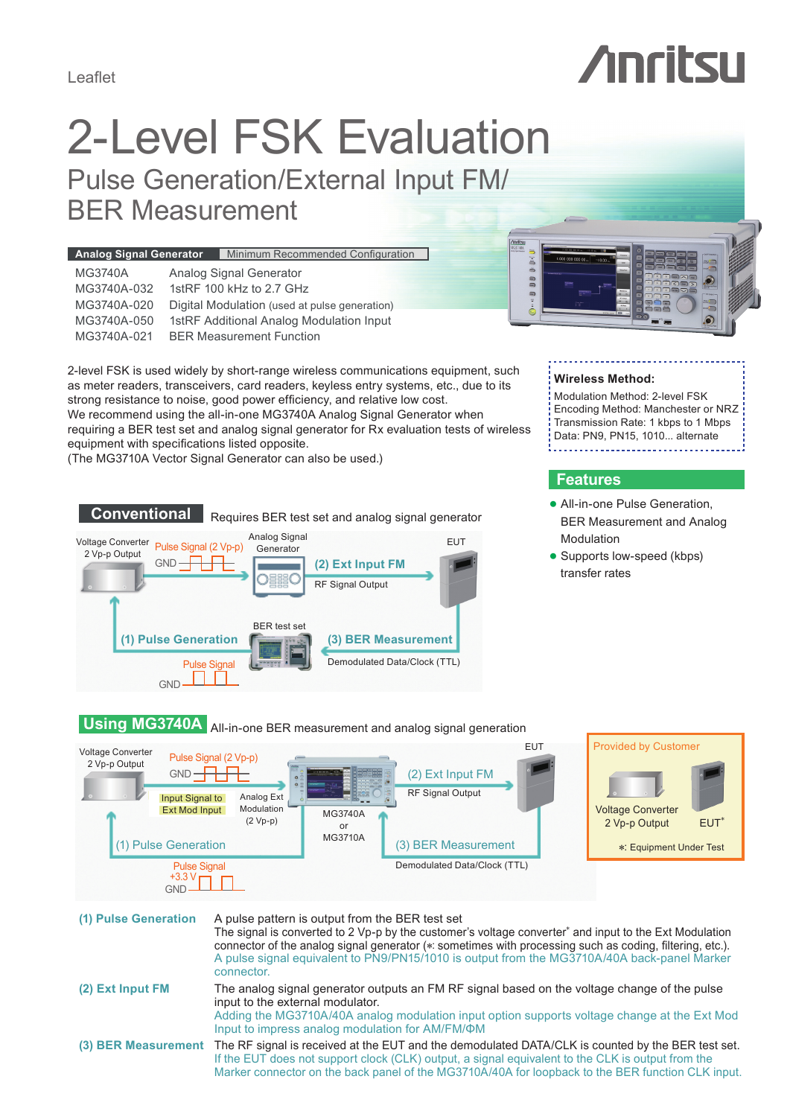Leaflet

# 2-Level FSK Evaluation

Pulse Generation/External Input FM/ BER Measurement

| Minimum Recommended Configuration<br><b>Analog Signal Generator</b>                                                                                                                                                                                               | <b>/inritsu</b><br>MG3740A<br>1.000 000 000 00. |
|-------------------------------------------------------------------------------------------------------------------------------------------------------------------------------------------------------------------------------------------------------------------|-------------------------------------------------|
| <b>MG3740A</b><br>Analog Signal Generator<br>1stRF 100 kHz to 2.7 GHz<br>MG3740A-032<br>MG3740A-020<br>Digital Modulation (used at pulse generation)<br>1stRF Additional Analog Modulation Input<br>MG3740A-050<br><b>BER Measurement Function</b><br>MG3740A-021 | ∍<br><b>CONTRACTOR</b><br>∍                     |
|                                                                                                                                                                                                                                                                   |                                                 |

2-level FSK is used widely by short-range wireless communications equipment, such as meter readers, transceivers, card readers, keyless entry systems, etc., due to its strong resistance to noise, good power efficiency, and relative low cost. We recommend using the all-in-one MG3740A Analog Signal Generator when requiring a BER test set and analog signal generator for Rx evaluation tests of wireless equipment with specifications listed opposite.

(The MG3710A Vector Signal Generator can also be used.)



#### **Wireless Method:**

Modulation Method: 2-level FSK Encoding Method: Manchester or NRZ Transmission Rate: 1 kbps to 1 Mbps Data: PN9, PN15, 1010... alternate

### **Features**

- All-in-one Pulse Generation. BER Measurement and Analog Modulation
- Supports low-speed (kbps) transfer rates

# **Using MG3740A** All-in-one BER measurement and analog signal generation



### **(1) Pulse Generation** A pulse pattern is output from the BER test set The signal is converted to 2 Vp-p by the customer's voltage converter<sup>\*</sup> and input to the Ext Modulation connector of the analog signal generator (∗: sometimes with processing such as coding, filtering, etc.). A pulse signal equivalent to PN9/PN15/1010 is output from the MG3710A/40A back-panel Marker connector. **(2) Ext Input FM** The analog signal generator outputs an FM RF signal based on the voltage change of the pulse input to the external modulator. Adding the MG3710A/40A analog modulation input option supports voltage change at the Ext Mod Input to impress analog modulation for AM/FM/ΦM **(3) BER Measurement** The RF signal is received at the EUT and the demodulated DATA/CLK is counted by the BER test set. If the EUT does not support clock (CLK) output, a signal equivalent to the CLK is output from the Marker connector on the back panel of the MG3710A/40A for loopback to the BER function CLK input.

# *Anritsu*